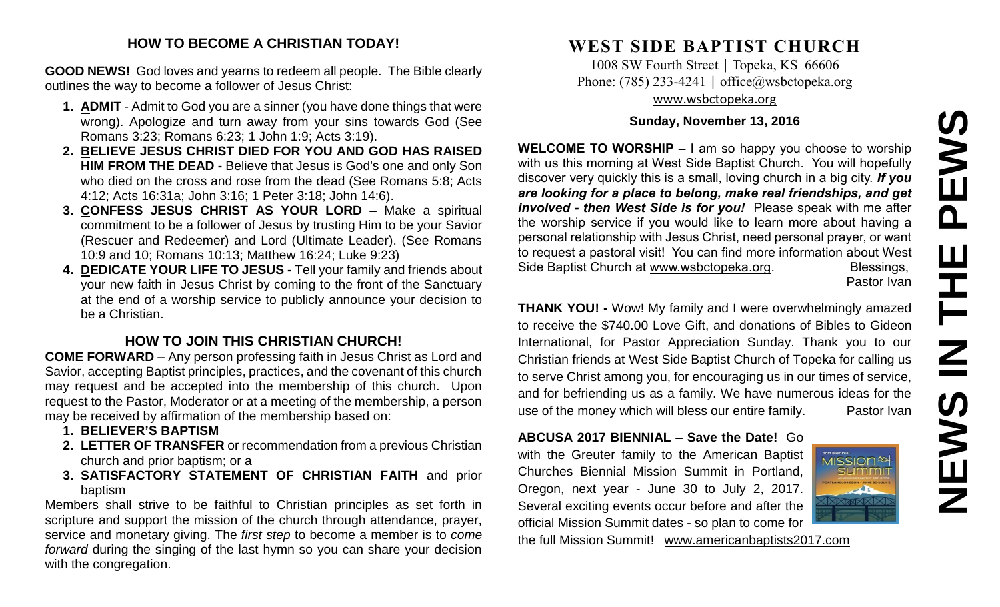# **NEWS IN THE PEWS**PEWS <u>ш</u> ᆍ .<br>Z EWS

#### **HOW TO BECOME A CHRISTIAN TODAY!**

**GOOD NEWS!** God loves and yearns to redeem all people. The Bible clearly outlines the way to become a follower of Jesus Christ:

- **1. ADMIT** Admit to God you are a sinner (you have done things that were wrong). Apologize and turn away from your sins towards God (See Romans 3:23; Romans 6:23; 1 John 1:9; Acts 3:19).
- **2. BELIEVE JESUS CHRIST DIED FOR YOU AND GOD HAS RAISED HIM FROM THE DEAD -** Believe that Jesus is God's one and only Son who died on the cross and rose from the dead (See Romans 5:8; Acts 4:12; Acts 16:31a; John 3:16; 1 Peter 3:18; John 14:6).
- **3. CONFESS JESUS CHRIST AS YOUR LORD –** Make a spiritual commitment to be a follower of Jesus by trusting Him to be your Savior (Rescuer and Redeemer) and Lord (Ultimate Leader). (See Romans 10:9 and 10; Romans 10:13; Matthew 16:24; Luke 9:23)
- **4. DEDICATE YOUR LIFE TO JESUS -** Tell your family and friends about your new faith in Jesus Christ by coming to the front of the Sanctuary at the end of a worship service to publicly announce your decision to be a Christian.

## **HOW TO JOIN THIS CHRISTIAN CHURCH!**

**COME FORWARD** – Any person professing faith in Jesus Christ as Lord and Savior, accepting Baptist principles, practices, and the covenant of this church may request and be accepted into the membership of this church. Upon request to the Pastor, Moderator or at a meeting of the membership, a person may be received by affirmation of the membership based on:

- **1. BELIEVER'S BAPTISM**
- **2. LETTER OF TRANSFER** or recommendation from a previous Christian church and prior baptism; or a
- **3. SATISFACTORY STATEMENT OF CHRISTIAN FAITH** and prior baptism

Members shall strive to be faithful to Christian principles as set forth in scripture and support the mission of the church through attendance, prayer, service and monetary giving. The *first step* to become a member is to *come forward* during the singing of the last hymn so you can share your decision with the congregation.

# **WEST SIDE BAPTIST CHURCH**

1008 SW Fourth Street | Topeka, KS 66606 Phone: (785) 233-4241 | [office@wsbctopeka.org](mailto:office@wsbctopeka.org) [www.wsbctopeka.org](http://www.wsbctopeka.org/)

#### **Sunday, November 13, 2016**

**WELCOME TO WORSHIP –** I am so happy you choose to worship with us this morning at West Side Baptist Church. You will hopefully discover very quickly this is a small, loving church in a big city. *If you are looking for a place to belong, make real friendships, and get involved - then West Side is for you!* Please speak with me after the worship service if you would like to learn more about having a personal relationship with Jesus Christ, need personal prayer, or want to request a pastoral visit! You can find more information about West Side Baptist Church at [www.wsbctopeka.org.](http://www.wsbctopeka.org/) Blessings,

Pastor Ivan

**THANK YOU! -** Wow! My family and I were overwhelmingly amazed to receive the \$740.00 Love Gift, and donations of Bibles to Gideon International, for Pastor Appreciation Sunday. Thank you to our Christian friends at West Side Baptist Church of Topeka for calling us to serve Christ among you, for encouraging us in our times of service, and for befriending us as a family. We have numerous ideas for the use of the money which will bless our entire family. Pastor Ivan

#### **ABCUSA 2017 BIENNIAL – Save the Date!** Go with the Greuter family to the American Baptist

Churches Biennial Mission Summit in Portland, Oregon, next year - June 30 to July 2, 2017. Several exciting events occur before and after the official Mission Summit dates - so plan to come for

the full Mission Summit! [www.americanbaptists2017.com](http://www.americanbaptists2017.com/)

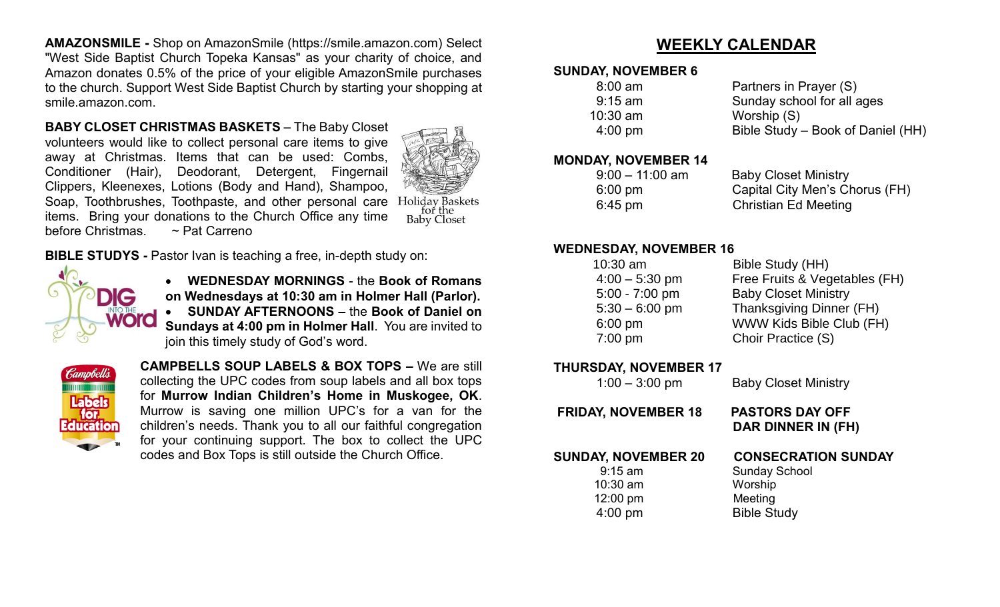**AMAZONSMILE -** Shop on AmazonSmile (https://smile.amazon.com) Select "West Side Baptist Church Topeka Kansas" as your charity of choice, and Amazon donates 0.5% of the price of your eligible AmazonSmile purchases to the church. Support West Side Baptist Church by starting your shopping at smile.amazon.com.

**BABY CLOSET CHRISTMAS BASKETS** – The Baby Closet volunteers would like to collect personal care items to give away at Christmas. Items that can be used: Combs, Conditioner (Hair), Deodorant, Detergent, Fingernail Clippers, Kleenexes, Lotions (Body and Hand), Shampoo, Soap, Toothbrushes, Toothpaste, and other personal care items. Bring your donations to the Church Office any time before Christmas. ~ Pat Carreno



Holiday Baskets<br>for the **Baby Closet** 

**BIBLE STUDYS -** Pastor Ivan is teaching a free, in-depth study on:



 **WEDNESDAY MORNINGS** - the **Book of Romans on Wednesdays at 10:30 am in Holmer Hall (Parlor). SUNDAY AFTERNOONS –** the **Book of Daniel on Sundays at 4:00 pm in Holmer Hall**. You are invited to join this timely study of God's word.



**CAMPBELLS SOUP LABELS & BOX TOPS –** We are still collecting the UPC codes from soup labels and all box tops for **Murrow Indian Children's Home in Muskogee, OK**. Murrow is saving one million UPC's for a van for the children's needs. Thank you to all our faithful congregation for your continuing support. The box to collect the UPC codes and Box Tops is still outside the Church Office.

# **WEEKLY CALENDAR**

#### **SUNDAY, NOVEMBER 6**

| $8:00$ am         | Partners in Prayer (S)            |
|-------------------|-----------------------------------|
| $9:15$ am         | Sunday school for all ages        |
| $10:30$ am        | Worship (S)                       |
| $4:00 \text{ pm}$ | Bible Study – Book of Daniel (HH) |

#### **MONDAY, NOVEMBER 14**

| $9:00 - 11:00$ am | <b>Baby Closet Ministry</b>    |
|-------------------|--------------------------------|
| $6:00 \text{ pm}$ | Capital City Men's Chorus (FH) |
| $6:45 \text{ pm}$ | Christian Ed Meeting           |

#### **WEDNESDAY, NOVEMBER 16**

| $10:30$ am       | Bible Study (HH)                |
|------------------|---------------------------------|
| $4:00 - 5:30$ pm | Free Fruits & Vegetables (FH)   |
| $5:00 - 7:00$ pm | <b>Baby Closet Ministry</b>     |
| $5:30 - 6:00$ pm | <b>Thanksgiving Dinner (FH)</b> |
| $6:00$ pm        | WWW Kids Bible Club (FH)        |
| $7:00$ pm        | Choir Practice (S)              |
|                  |                                 |

#### **THURSDAY, NOVEMBER 17**

| $1:00 - 3:00$ pm                                                               | <b>Baby Closet Ministry</b>                                                                    |
|--------------------------------------------------------------------------------|------------------------------------------------------------------------------------------------|
| <b>FRIDAY, NOVEMBER 18</b>                                                     | <b>PASTORS DAY OFF</b><br>DAR DINNER IN (FH)                                                   |
| <b>SUNDAY, NOVEMBER 20</b><br>$9:15$ am<br>$10:30$ am<br>12:00 pm<br>$4:00$ pm | <b>CONSECRATION SUNDAY</b><br><b>Sunday School</b><br>Worship<br>Meeting<br><b>Bible Study</b> |
|                                                                                |                                                                                                |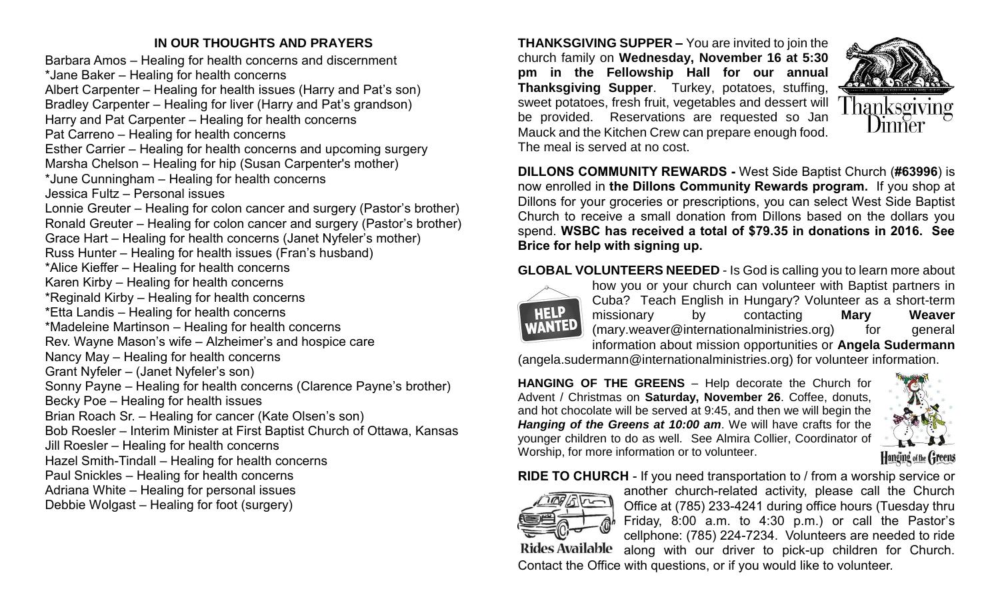### **IN OUR THOUGHTS AND PRAYERS**

Barbara Amos – Healing for health concerns and discernment \*Jane Baker – Healing for health concerns Albert Carpenter – Healing for health issues (Harry and Pat's son) Bradley Carpenter – Healing for liver (Harry and Pat's grandson) Harry and Pat Carpenter – Healing for health concerns Pat Carreno – Healing for health concerns Esther Carrier – Healing for health concerns and upcoming surgery Marsha Chelson – Healing for hip (Susan Carpenter's mother) \*June Cunningham – Healing for health concerns Jessica Fultz – Personal issues Lonnie Greuter – Healing for colon cancer and surgery (Pastor's brother) Ronald Greuter – Healing for colon cancer and surgery (Pastor's brother) Grace Hart – Healing for health concerns (Janet Nyfeler's mother) Russ Hunter – Healing for health issues (Fran's husband) \*Alice Kieffer – Healing for health concerns Karen Kirby – Healing for health concerns \*Reginald Kirby – Healing for health concerns \*Etta Landis – Healing for health concerns \*Madeleine Martinson – Healing for health concerns Rev. Wayne Mason's wife – Alzheimer's and hospice care Nancy May – Healing for health concerns Grant Nyfeler – (Janet Nyfeler's son) Sonny Payne – Healing for health concerns (Clarence Payne's brother) Becky Poe – Healing for health issues Brian Roach Sr. – Healing for cancer (Kate Olsen's son) Bob Roesler – Interim Minister at First Baptist Church of Ottawa, Kansas Jill Roesler – Healing for health concerns Hazel Smith-Tindall – Healing for health concerns Paul Snickles – Healing for health concerns Adriana White – Healing for personal issues Debbie Wolgast – Healing for foot (surgery)

**THANKSGIVING SUPPER –** You are invited to join the church family on **Wednesday, November 16 at 5:30 pm in the Fellowship Hall for our annual Thanksgiving Supper**. Turkey, potatoes, stuffing, sweet potatoes, fresh fruit, vegetables and dessert will be provided. Reservations are requested so Jan Mauck and the Kitchen Crew can prepare enough food. The meal is served at no cost.



**DILLONS COMMUNITY REWARDS -** West Side Baptist Church (**#63996**) is now enrolled in **the Dillons Community Rewards program.** If you shop at Dillons for your groceries or prescriptions, you can select West Side Baptist Church to receive a small donation from Dillons based on the dollars you spend. **WSBC has received a total of \$79.35 in donations in 2016. See Brice for help with signing up.**

#### **GLOBAL VOLUNTEERS NEEDED** - Is God is calling you to learn more about



how you or your church can volunteer with Baptist partners in Cuba? Teach English in Hungary? Volunteer as a short-term missionary by contacting **Mary Weaver** (mary.weaver@internationalministries.org) for general information about mission opportunities or **Angela Sudermann**

(angela.sudermann@internationalministries.org) for volunteer information.

**HANGING OF THE GREENS** – Help decorate the Church for Advent / Christmas on **Saturday, November 26**. Coffee, donuts, and hot chocolate will be served at 9:45, and then we will begin the *Hanging of the Greens at 10:00 am*. We will have crafts for the younger children to do as well. See Almira Collier, Coordinator of Worship, for more information or to volunteer.



**RIDE TO CHURCH** - If you need transportation to / from a worship service or



another church-related activity, please call the Church Office at (785) 233-4241 during office hours (Tuesday thru Friday, 8:00 a.m. to 4:30 p.m.) or call the Pastor's cellphone: (785) 224-7234. Volunteers are needed to ride Rides Available along with our driver to pick-up children for Church.

Contact the Office with questions, or if you would like to volunteer.